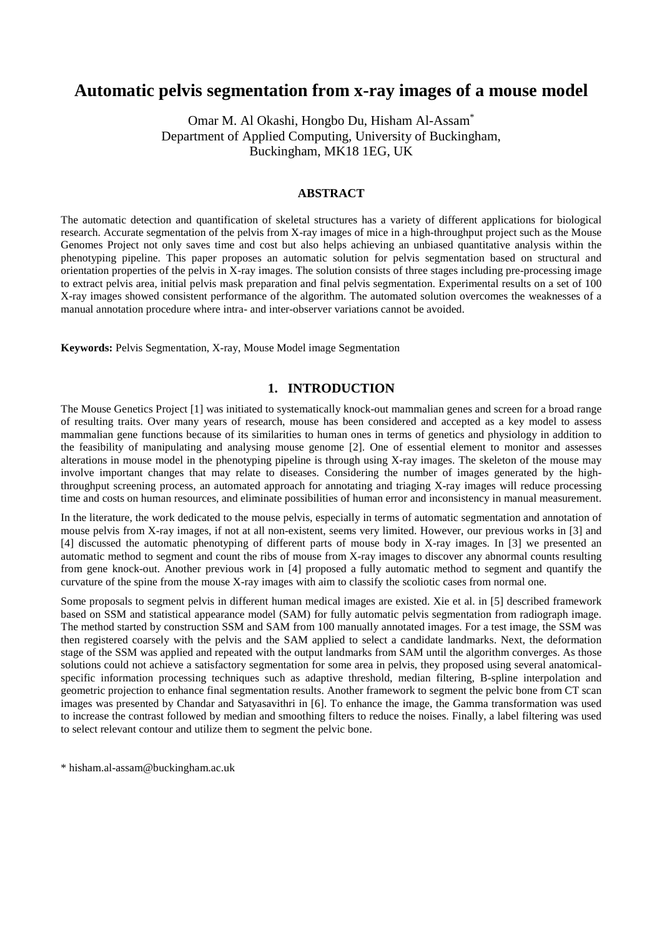# **Automatic pelvis segmentation from x-ray images of a mouse model**

Omar M. Al Okashi, Hongbo Du, Hisham Al-Assam\* Department of Applied Computing, University of Buckingham, Buckingham, MK18 1EG, UK

#### **ABSTRACT**

The automatic detection and quantification of skeletal structures has a variety of different applications for biological research. Accurate segmentation of the pelvis from X-ray images of mice in a high-throughput project such as the Mouse Genomes Project not only saves time and cost but also helps achieving an unbiased quantitative analysis within the phenotyping pipeline. This paper proposes an automatic solution for pelvis segmentation based on structural and orientation properties of the pelvis in X-ray images. The solution consists of three stages including pre-processing image to extract pelvis area, initial pelvis mask preparation and final pelvis segmentation. Experimental results on a set of 100 X-ray images showed consistent performance of the algorithm. The automated solution overcomes the weaknesses of a manual annotation procedure where intra- and inter-observer variations cannot be avoided.

**Keywords:** Pelvis Segmentation, X-ray, Mouse Model image Segmentation

## **1. INTRODUCTION**

The Mouse Genetics Project [1] was initiated to systematically knock-out mammalian genes and screen for a broad range of resulting traits. Over many years of research, mouse has been considered and accepted as a key model to assess mammalian gene functions because of its similarities to human ones in terms of genetics and physiology in addition to the feasibility of manipulating and analysing mouse genome [2]. One of essential element to monitor and assesses alterations in mouse model in the phenotyping pipeline is through using X-ray images. The skeleton of the mouse may involve important changes that may relate to diseases. Considering the number of images generated by the highthroughput screening process, an automated approach for annotating and triaging X-ray images will reduce processing time and costs on human resources, and eliminate possibilities of human error and inconsistency in manual measurement.

In the literature, the work dedicated to the mouse pelvis, especially in terms of automatic segmentation and annotation of mouse pelvis from X-ray images, if not at all non-existent, seems very limited. However, our previous works in [3] and [4] discussed the automatic phenotyping of different parts of mouse body in X-ray images. In [3] we presented an automatic method to segment and count the ribs of mouse from X-ray images to discover any abnormal counts resulting from gene knock-out. Another previous work in [4] proposed a fully automatic method to segment and quantify the curvature of the spine from the mouse X-ray images with aim to classify the scoliotic cases from normal one.

Some proposals to segment pelvis in different human medical images are existed. Xie et al. in [5] described framework based on SSM and statistical appearance model (SAM) for fully automatic pelvis segmentation from radiograph image. The method started by construction SSM and SAM from 100 manually annotated images. For a test image, the SSM was then registered coarsely with the pelvis and the SAM applied to select a candidate landmarks. Next, the deformation stage of the SSM was applied and repeated with the output landmarks from SAM until the algorithm converges. As those solutions could not achieve a satisfactory segmentation for some area in pelvis, they proposed using several anatomicalspecific information processing techniques such as adaptive threshold, median filtering, B-spline interpolation and geometric projection to enhance final segmentation results. Another framework to segment the pelvic bone from CT scan images was presented by Chandar and Satyasavithri in [6]. To enhance the image, the Gamma transformation was used to increase the contrast followed by median and smoothing filters to reduce the noises. Finally, a label filtering was used to select relevant contour and utilize them to segment the pelvic bone.

\* hisham.al-assam@buckingham.ac.uk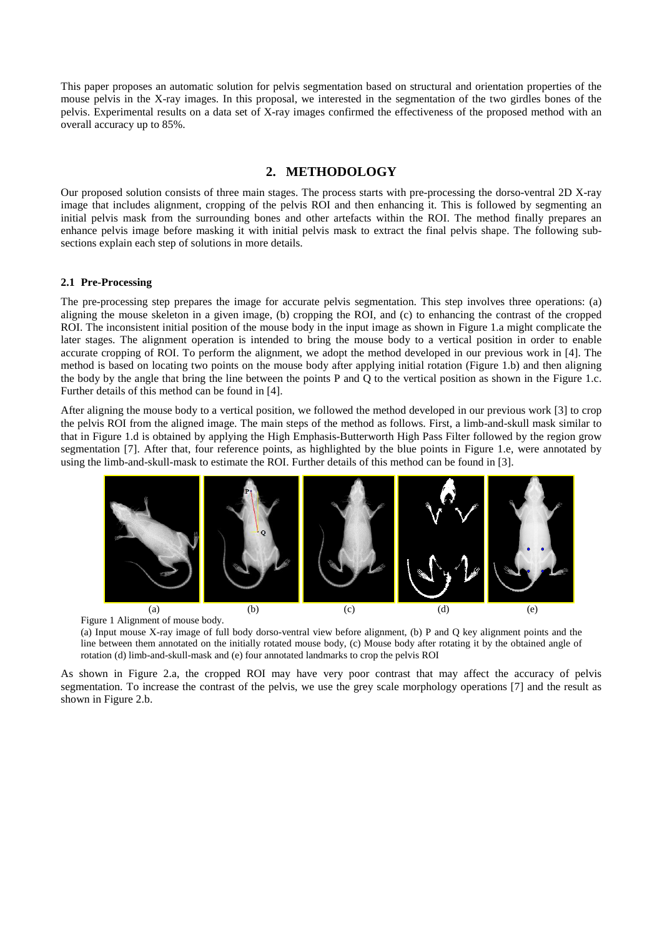This paper proposes an automatic solution for pelvis segmentation based on structural and orientation properties of the mouse pelvis in the X-ray images. In this proposal, we interested in the segmentation of the two girdles bones of the pelvis. Experimental results on a data set of X-ray images confirmed the effectiveness of the proposed method with an overall accuracy up to 85%.

#### **2. METHODOLOGY**

Our proposed solution consists of three main stages. The process starts with pre-processing the dorso-ventral 2D X-ray image that includes alignment, cropping of the pelvis ROI and then enhancing it. This is followed by segmenting an initial pelvis mask from the surrounding bones and other artefacts within the ROI. The method finally prepares an enhance pelvis image before masking it with initial pelvis mask to extract the final pelvis shape. The following subsections explain each step of solutions in more details.

#### **2.1 Pre-Processing**

The pre-processing step prepares the image for accurate pelvis segmentation. This step involves three operations: (a) aligning the mouse skeleton in a given image, (b) cropping the ROI, and (c) to enhancing the contrast of the cropped ROI. The inconsistent initial position of the mouse body in the input image as shown in Figure 1.a might complicate the later stages. The alignment operation is intended to bring the mouse body to a vertical position in order to enable accurate cropping of ROI. To perform the alignment, we adopt the method developed in our previous work in [4]. The method is based on locating two points on the mouse body after applying initial rotation (Figure 1.b) and then aligning the body by the angle that bring the line between the points P and Q to the vertical position as shown in the Figure 1.c. Further details of this method can be found in [4].

After aligning the mouse body to a vertical position, we followed the method developed in our previous work [3] to crop the pelvis ROI from the aligned image. The main steps of the method as follows. First, a limb-and-skull mask similar to that in Figure 1.d is obtained by applying the High Emphasis-Butterworth High Pass Filter followed by the region grow segmentation [7]. After that, four reference points, as highlighted by the blue points in Figure 1.e, were annotated by using the limb-and-skull-mask to estimate the ROI. Further details of this method can be found in [3].



(a) Input mouse X-ray image of full body dorso-ventral view before alignment, (b) P and Q key alignment points and the line between them annotated on the initially rotated mouse body, (c) Mouse body after rotating it by the obtained angle of rotation (d) limb-and-skull-mask and (e) four annotated landmarks to crop the pelvis ROI

As shown in Figure 2.a, the cropped ROI may have very poor contrast that may affect the accuracy of pelvis segmentation. To increase the contrast of the pelvis, we use the grey scale morphology operations [7] and the result as shown in Figure 2.b.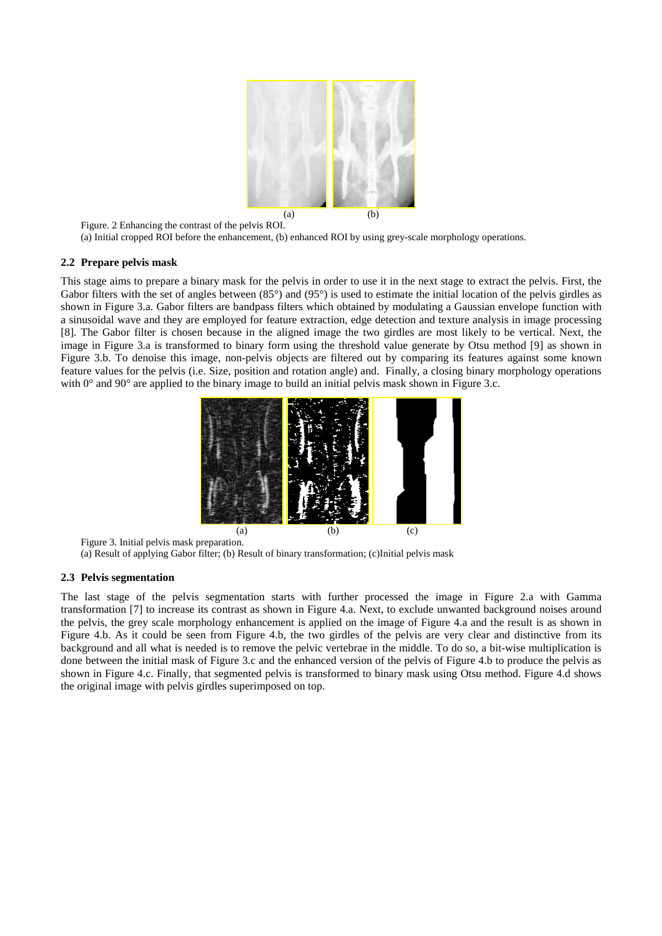

Figure. 2 Enhancing the contrast of the pelvis ROI. (a) Initial cropped ROI before the enhancement, (b) enhanced ROI by using grey-scale morphology operations.

#### **2.2 Prepare pelvis mask**

This stage aims to prepare a binary mask for the pelvis in order to use it in the next stage to extract the pelvis. First, the Gabor filters with the set of angles between  $(85^\circ)$  and  $(95^\circ)$  is used to estimate the initial location of the pelvis girdles as shown in Figure 3.a. Gabor filters are bandpass filters which obtained by modulating a Gaussian envelope function with a sinusoidal wave and they are employed for feature extraction, edge detection and texture analysis in image processing [8]*.* The Gabor filter is chosen because in the aligned image the two girdles are most likely to be vertical. Next, the image in Figure 3.a is transformed to binary form using the threshold value generate by Otsu method [9] as shown in Figure 3.b. To denoise this image, non-pelvis objects are filtered out by comparing its features against some known feature values for the pelvis (i.e. Size, position and rotation angle) and. Finally, a closing binary morphology operations with  $0^{\circ}$  and  $90^{\circ}$  are applied to the binary image to build an initial pelvis mask shown in Figure 3.c.



Figure 3. Initial pelvis mask preparation. (a) Result of applying Gabor filter; (b) Result of binary transformation; (c)Initial pelvis mask

#### **2.3 Pelvis segmentation**

The last stage of the pelvis segmentation starts with further processed the image in Figure 2.a with Gamma transformation [7] to increase its contrast as shown in Figure 4.a. Next, to exclude unwanted background noises around the pelvis, the grey scale morphology enhancement is applied on the image of Figure 4.a and the result is as shown in Figure 4.b. As it could be seen from Figure 4.b, the two girdles of the pelvis are very clear and distinctive from its background and all what is needed is to remove the pelvic vertebrae in the middle. To do so, a bit-wise multiplication is done between the initial mask of Figure 3.c and the enhanced version of the pelvis of Figure 4.b to produce the pelvis as shown in Figure 4.c. Finally, that segmented pelvis is transformed to binary mask using Otsu method. Figure 4.d shows the original image with pelvis girdles superimposed on top.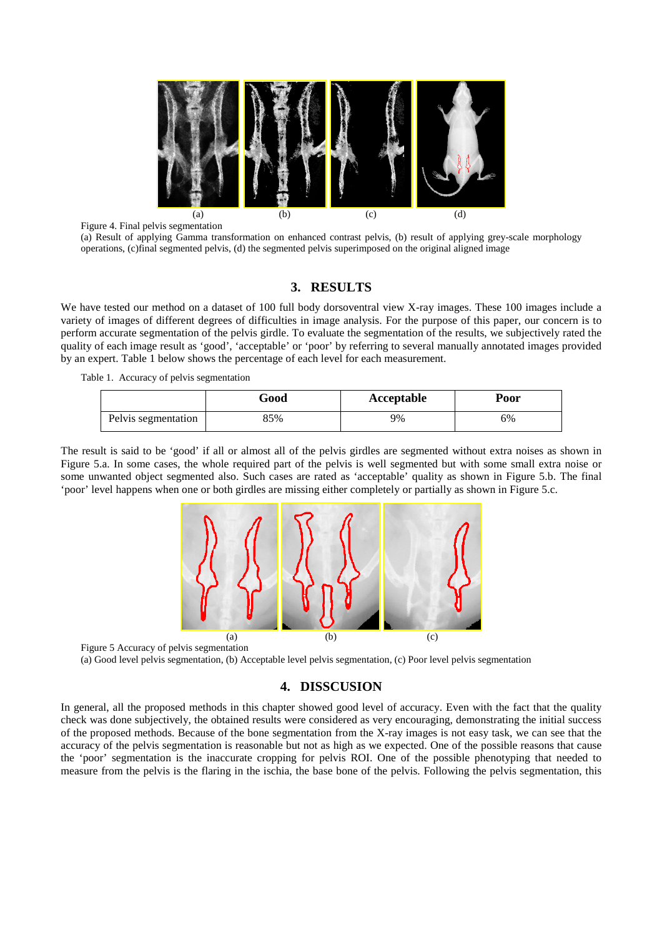

Figure 4. Final pelvis segmentation (a) Result of applying Gamma transformation on enhanced contrast pelvis, (b) result of applying grey-scale morphology operations, (c)final segmented pelvis, (d) the segmented pelvis superimposed on the original aligned image

### **3. RESULTS**

We have tested our method on a dataset of 100 full body dorsoventral view X-ray images. These 100 images include a variety of images of different degrees of difficulties in image analysis. For the purpose of this paper, our concern is to perform accurate segmentation of the pelvis girdle. To evaluate the segmentation of the results, we subjectively rated the quality of each image result as 'good', 'acceptable' or 'poor' by referring to several manually annotated images provided by an expert. Table 1 below shows the percentage of each level for each measurement.

Table 1. Accuracy of pelvis segmentation

|                     | Good | Acceptable | Poor |
|---------------------|------|------------|------|
| Pelvis segmentation | 35%  | 9%         | 6%   |

The result is said to be 'good' if all or almost all of the pelvis girdles are segmented without extra noises as shown in Figure 5.a. In some cases, the whole required part of the pelvis is well segmented but with some small extra noise or some unwanted object segmented also. Such cases are rated as 'acceptable' quality as shown in Figure 5.b. The final 'poor' level happens when one or both girdles are missing either completely or partially as shown in Figure 5.c.



(a) Good level pelvis segmentation, (b) Acceptable level pelvis segmentation, (c) Poor level pelvis segmentation

### **4. DISSCUSION**

In general, all the proposed methods in this chapter showed good level of accuracy. Even with the fact that the quality check was done subjectively, the obtained results were considered as very encouraging, demonstrating the initial success of the proposed methods. Because of the bone segmentation from the X-ray images is not easy task, we can see that the accuracy of the pelvis segmentation is reasonable but not as high as we expected. One of the possible reasons that cause the 'poor' segmentation is the inaccurate cropping for pelvis ROI. One of the possible phenotyping that needed to measure from the pelvis is the flaring in the ischia, the base bone of the pelvis. Following the pelvis segmentation, this